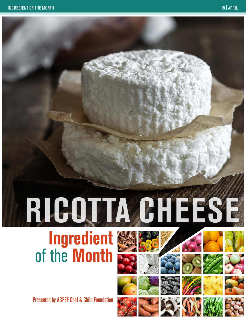# **RICOTTA CHEESE**

# **Ingredient** of the **Month**

Presented by ACFEF Chef & Child Foundation

















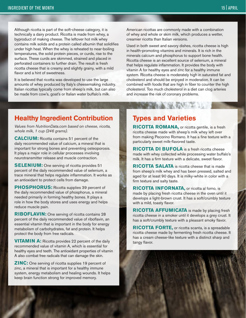Although ricotta is part of the soft-cheese category, it is technically a dairy product. Ricotta is made from whey, a byproduct of making cheese. The leftover hot milk whey contains milk solids and a protein called albumin that solidifies under high heat. When the whey is reheated to near-boiling temperatures, the solid protein pieces, or curds, rise to the surface. These curds are skimmed, strained and placed in perforated containers to further drain. The result is fresh ricotta cheese that is creamy and slightly grainy, with a mild flavor and a hint of sweetness.

It is believed that ricotta was developed to use the large amounts of whey produced by Italy's cheesemaking industry. Italian ricottas typically come from sheep's milk, but can also be made from cow's, goat's or Italian water buffalo's milk.

American ricottas are commonly made with a combination of whey and whole or skim milk, which produces a wetter, creamier ricotta than Italian versions.

Used in both sweet and savory dishes, ricotta cheese is high in health-promoting vitamins and minerals. It is rich in the minerals calcium and phosphorus to support bone health. Ricotta cheese is an excellent source of selenium, a mineral that helps regulate inflammation. It provides the body with vitamin A for healthy eyes and zinc for a healthy immune system. Ricotta cheese is moderately high in saturated fat and cholesterol and should be enjoyed in moderation. It can be combined with foods that are high in fiber to counter the high cholesterol. Too much cholesterol in a diet can clog arteries and increase the risk of coronary problems.

#### **Healthy Ingredient Contribution**

*Values from NutritionData.com based on cheese, ricotta, whole milk, 1 cup (246 grams).*

**CALCIUM:** Ricotta contains 51 percent of the daily recommended value of calcium, a mineral that is important for strong bones and preventing osteoporosis. It plays a major role in cellular processes involving neurotransmitter release and muscle contraction.

**SELENIUM:** One serving of ricotta provides 51 percent of the daily recommended value of selenium, a trace mineral that helps regulate inflammation. It works as an antioxidant to protect cells from damage.

**PHOSPHORUS:** Ricotta supplies 39 percent of the daily recommended value of phosphorus, a mineral needed primarily in forming healthy bones. It plays a role in how the body stores and uses energy and helps reduce muscle pain.

**RIBOFLAVIN:** One serving of ricotta contains 28 percent of the daily recommended value of riboflavin, an essential vitamin that is important in the body for energy metabolism of carbohydrates, fat and protein. It helps protect the body from free radicals.

**VITAMIN A:** Ricotta provides 22 percent of the daily recommended value of vitamin A, which is essential for healthy eyes and teeth. The antioxidant properties of vitamin A also combat free radicals that can damage the skin.

**ZINC:** One serving of ricotta supplies 19 percent of zinc, a mineral that is important for a healthy immune system, energy metabolism and healing wounds. It helps keep brain function strong for improved memory.

#### **Types and Varieties**

**RICOTTA ROMANA,** or ricotta gentile, is a fresh ricotta cheese made with sheep's milk whey left over from making Pecorino Romano. It has a fine texture with a particularly sweet milk-flavored taste.

SAN TALL

**RICOTTA DI BUFOLA** is a fresh ricotta cheese made with whey collected while processing water buffalo's milk. It has a firm texture with a delicate, sweet flavor.

**RICOTTA SALATA** is ricotta cheese that is made from sheep's milk whey and has been pressed, salted and aged for at least 90 days. It is milky-white in color with a firm texture and salty taste.

**RICOTTA INFORNATA,** or ricotta al forno, is made by placing fresh ricotta cheese in the oven until it develops a light-brown crust. It has a soft/crumbly texture with a mild, toasty flavor.

**RICOTTA AFFUMICATA** is made by placing fresh ricotta cheese in a smoker until it develops a grey crust. It has a soft/crumbly texture with a pleasant smoky flavor.

**RICOTTA FORTE,** or ricotta scanta, is a spreadable ricotta cheese made by fermenting fresh ricotta cheese. It has a cream cheese-like texture with a distinct sharp and tangy flavor.